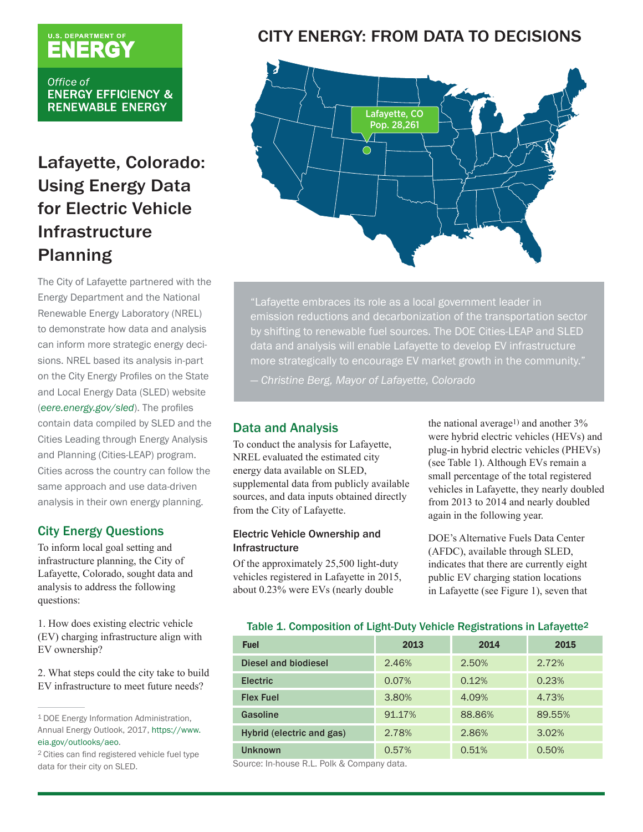# U.S. DEPARTMENT OF

Office of **ENERGY EFFICIENCY & RENEWABLE ENERGY** 

# Lafayette, Colorado: Using Energy Data for Electric Vehicle Infrastructure Planning

The City of Lafayette partnered with the Energy Department and the National Renewable Energy Laboratory (NREL) to demonstrate how data and analysis can inform more strategic energy decisions. NREL based its analysis in-part on the City Energy Profiles on the State and Local Energy Data (SLED) website (*[eere.energy.gov/sled](http://eere.energy.gov/sled)*). The profiles contain data compiled by SLED and the Cities Leading through Energy Analysis and Planning (Cities-LEAP) program. Cities across the country can follow the same approach and use data-driven analysis in their own energy planning.

## City Energy Questions

To inform local goal setting and infrastructure planning, the City of Lafayette, Colorado, sought data and analysis to address the following questions:

1. How does existing electric vehicle (EV) charging infrastructure align with EV ownership?

2. What steps could the city take to build EV infrastructure to meet future needs?

# CITY ENERGY: FROM DATA TO DECISIONS



"Lafayette embraces its role as a local government leader in emission reductions and decarbonization of the transportation sector by shifting to renewable fuel sources. The DOE Cities-LEAP and SLED data and analysis will enable Lafayette to develop EV infrastructure more strategically to encourage EV market growth in the community."

— *Christine Berg, Mayor of Lafayette, Colorado*

## Data and Analysis

To conduct the analysis for Lafayette, NREL evaluated the estimated city energy data available on SLED, supplemental data from publicly available sources, and data inputs obtained directly from the City of Lafayette.

#### Electric Vehicle Ownership and Infrastructure

Of the approximately 25,500 light-duty vehicles registered in Lafayette in 2015, about 0.23% were EVs (nearly double

the national average<sup>1)</sup> and another  $3\%$ were hybrid electric vehicles (HEVs) and plug-in hybrid electric vehicles (PHEVs) (see Table 1). Although EVs remain a small percentage of the total registered vehicles in Lafayette, they nearly doubled from 2013 to 2014 and nearly doubled again in the following year.

DOE's Alternative Fuels Data Center (AFDC), available through SLED, indicates that there are currently eight public EV charging station locations in Lafayette (see Figure 1), seven that

#### Table 1. Composition of Light-Duty Vehicle Registrations in Lafayette<sup>2</sup>

| <b>Fuel</b>               | 2013   | 2014   | 2015   |
|---------------------------|--------|--------|--------|
| Diesel and biodiesel      | 2.46%  | 2.50%  | 2.72%  |
| <b>Electric</b>           | 0.07%  | 0.12%  | 0.23%  |
| <b>Flex Fuel</b>          | 3.80%  | 4.09%  | 4.73%  |
| Gasoline                  | 91.17% | 88.86% | 89.55% |
| Hybrid (electric and gas) | 2.78%  | 2.86%  | 3.02%  |
| <b>Unknown</b>            | 0.57%  | 0.51%  | 0.50%  |

Source: In-house R.L. Polk & Company data.

<sup>1</sup> DOE Energy Information Administration, Annual Energy Outlook, 2017, [https://www.](https://www.eia.gov/outlooks/aeo/) [eia.gov/outlooks/aeo.](https://www.eia.gov/outlooks/aeo/)

<sup>2</sup> Cities can find registered vehicle fuel type data for their city on SLED.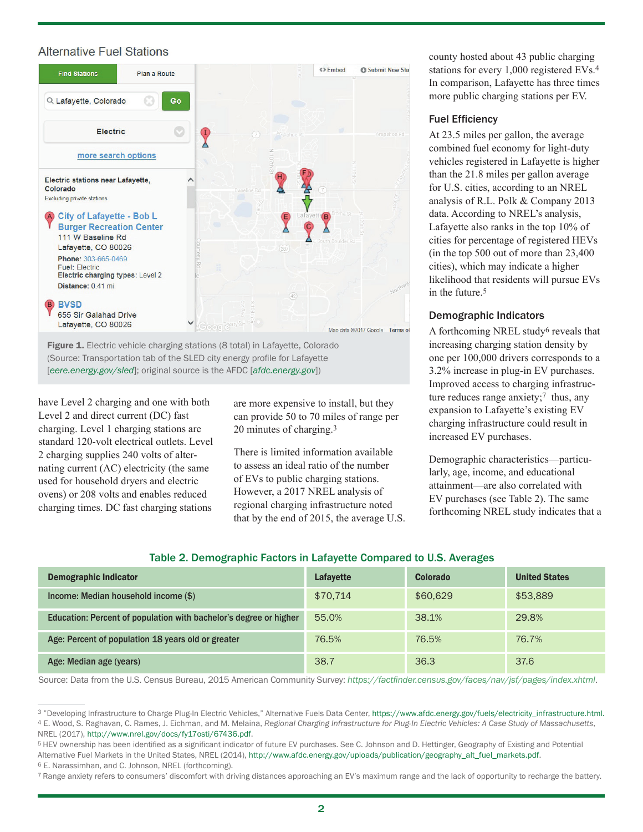### **Alternative Fuel Stations**



Figure 1. Electric vehicle charging stations (8 total) in Lafayette, Colorado (Source: Transportation tab of the SLED city energy profile for Lafayette [*eere.energy.gov/sled*]; original source is the AFDC [*[afdc.energy.gov](http://afdc.energy.gov)*])

have Level 2 charging and one with both Level 2 and direct current (DC) fast charging. Level 1 charging stations are standard 120-volt electrical outlets. Level 2 charging supplies 240 volts of alternating current (AC) electricity (the same used for household dryers and electric ovens) or 208 volts and enables reduced charging times. DC fast charging stations are more expensive to install, but they can provide 50 to 70 miles of range per 20 minutes of charging.3

There is limited information available to assess an ideal ratio of the number of EVs to public charging stations. However, a 2017 NREL analysis of regional charging infrastructure noted that by the end of 2015, the average U.S. county hosted about 43 public charging stations for every 1,000 registered EVs.4 In comparison, Lafayette has three times more public charging stations per EV.

#### Fuel Efficiency

At 23.5 miles per gallon, the average combined fuel economy for light-duty vehicles registered in Lafayette is higher than the 21.8 miles per gallon average for U.S. cities, according to an NREL analysis of R.L. Polk & Company 2013 data. According to NREL's analysis, Lafayette also ranks in the top 10% of cities for percentage of registered HEVs (in the top 500 out of more than 23,400 cities), which may indicate a higher likelihood that residents will pursue EVs in the future  $5$ 

#### Demographic Indicators

A forthcoming NREL study6 reveals that increasing charging station density by one per 100,000 drivers corresponds to a 3.2% increase in plug-in EV purchases. Improved access to charging infrastructure reduces range anxiety; $\frac{7}{7}$  thus, any expansion to Lafayette's existing EV charging infrastructure could result in increased EV purchases.

Demographic characteristics—particularly, age, income, and educational attainment—are also correlated with EV purchases (see Table 2). The same forthcoming NREL study indicates that a

| Table 2. Demographic Factors in Lafayette Compared to U.S. Averages |  |  |  |
|---------------------------------------------------------------------|--|--|--|
|                                                                     |  |  |  |

| Demographic Indicator                                             | Lafayette | <b>Colorado</b> | <b>United States</b> |
|-------------------------------------------------------------------|-----------|-----------------|----------------------|
| Income: Median household income (\$)                              | \$70.714  | \$60,629        | \$53,889             |
| Education: Percent of population with bachelor's degree or higher | 55.0%     | 38.1%           | 29.8%                |
| Age: Percent of population 18 years old or greater                | 76.5%     | 76.5%           | 76.7%                |
| Age: Median age (years)                                           | 38.7      | 36.3            | 37.6                 |

Source: Data from the U.S. Census Bureau, 2015 American Community Survey: *<https://factfinder.census.gov/faces/nav/jsf/pages/index.xhtml>*.

<sup>&</sup>lt;sup>3</sup> "Developing Infrastructure to Charge Plug-In Electric Vehicles," Alternative Fuels Data Center, [https://www.afdc.energy.gov/fuels/electricity\\_infrastructure.html.](https://www.afdc.energy.gov/fuels/electricity_infrastructure.html) 4 E. Wood, S. Raghavan, C. Rames, J. Eichman, and M. Melaina, *Regional Charging Infrastructure for Plug-In Electric Vehicles: A Case Study of Massachusetts*, NREL (2017),<http://www.nrel.gov/docs/fy17osti/67436.pdf>.

<sup>5</sup> HEV ownership has been identified as a significant indicator of future EV purchases. See C. Johnson and D. Hettinger, Geography of Existing and Potential Alternative Fuel Markets in the United States, NREL (2014), [http://www.afdc.energy.gov/uploads/publication/geography\\_alt\\_fuel\\_markets.pdf](http://www.afdc.energy.gov/uploads/publication/geography_alt_fuel_markets.pdf).

<sup>6</sup> E. Narassimhan, and C. Johnson, NREL (forthcoming).

<sup>7</sup> Range anxiety refers to consumers' discomfort with driving distances approaching an EV's maximum range and the lack of opportunity to recharge the battery.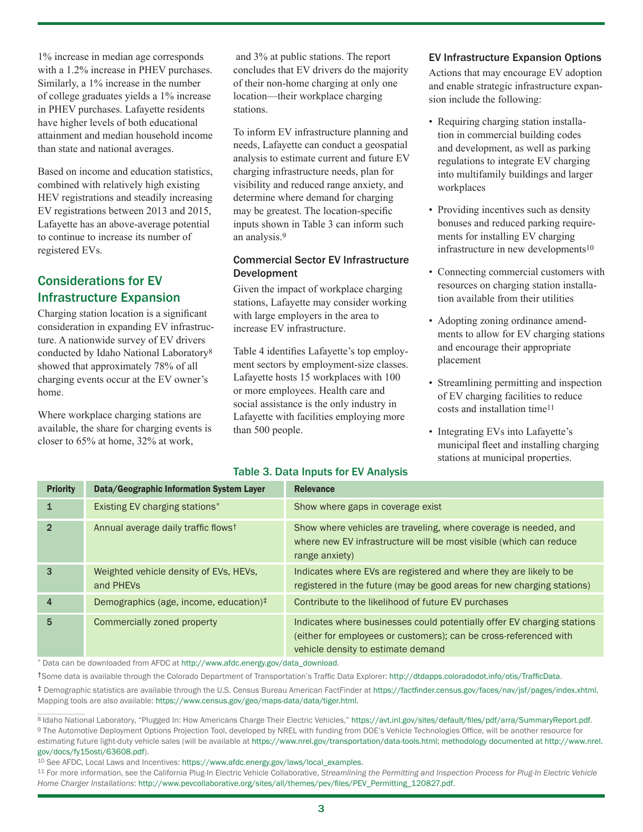1% increase in median age corresponds with a 1.2% increase in PHEV purchases. Similarly, a 1% increase in the number of college graduates yields a 1% increase in PHEV purchases. Lafayette residents have higher levels of both educational attainment and median household income than state and national averages.

Based on income and education statistics, combined with relatively high existing HEV registrations and steadily increasing EV registrations between 2013 and 2015, Lafayette has an above-average potential to continue to increase its number of registered EVs.

# Considerations for EV Infrastructure Expansion

Charging station location is a significant consideration in expanding EV infrastructure. A nationwide survey of EV drivers conducted by Idaho National Laboratory8 showed that approximately 78% of all charging events occur at the EV owner's home.

Where workplace charging stations are available, the share for charging events is closer to 65% at home, 32% at work,

 and 3% at public stations. The report concludes that EV drivers do the majority of their non-home charging at only one location—their workplace charging stations.

To inform EV infrastructure planning and needs, Lafayette can conduct a geospatial analysis to estimate current and future EV charging infrastructure needs, plan for visibility and reduced range anxiety, and determine where demand for charging may be greatest. The location-specific inputs shown in Table 3 can inform such an analysis.9

#### Commercial Sector EV Infrastructure Development

Given the impact of workplace charging stations, Lafayette may consider working with large employers in the area to increase EV infrastructure.

Table 4 identifies Lafayette's top employment sectors by employment-size classes. Lafayette hosts 15 workplaces with 100 or more employees. Health care and social assistance is the only industry in Lafayette with facilities employing more than 500 people.

## Table 3. Data Inputs for EV Analysis

#### EV Infrastructure Expansion Options

Actions that may encourage EV adoption and enable strategic infrastructure expansion include the following:

- Requiring charging station installation in commercial building codes and development, as well as parking regulations to integrate EV charging into multifamily buildings and larger workplaces
- Providing incentives such as density bonuses and reduced parking requirements for installing EV charging infrastructure in new developments<sup>10</sup>
- Connecting commercial customers with resources on charging station installation available from their utilities
- Adopting zoning ordinance amendments to allow for EV charging stations and encourage their appropriate placement
- Streamlining permitting and inspection of EV charging facilities to reduce costs and installation time11
- Integrating EVs into Lafayette's municipal fleet and installing charging stations at municipal properties.

| <b>Priority</b> | Data/Geographic Information System Layer            | <b>Relevance</b>                                                                                                                                                                   |
|-----------------|-----------------------------------------------------|------------------------------------------------------------------------------------------------------------------------------------------------------------------------------------|
|                 | Existing EV charging stations*                      | Show where gaps in coverage exist                                                                                                                                                  |
|                 | Annual average daily traffic flows <sup>†</sup>     | Show where vehicles are traveling, where coverage is needed, and<br>where new EV infrastructure will be most visible (which can reduce<br>range anxiety)                           |
|                 | Weighted vehicle density of EVs, HEVs,<br>and PHEVs | Indicates where EVs are registered and where they are likely to be<br>registered in the future (may be good areas for new charging stations)                                       |
| 4               | Demographics (age, income, education) <sup>‡</sup>  | Contribute to the likelihood of future EV purchases                                                                                                                                |
| 5               | Commercially zoned property                         | Indicates where businesses could potentially offer EV charging stations<br>(either for employees or customers); can be cross-referenced with<br>vehicle density to estimate demand |

Data can be downloaded from AFDC at [http://www.afdc.energy.gov/data\\_download](http://www.afdc.energy.gov/data_download).

†Some data is available through the Colorado Department of Transportation's Traffic Data Explorer: <http://dtdapps.coloradodot.info/otis/TrafficData>.

‡ Demographic statistics are available through the U.S. Census Bureau American FactFinder at <https://factfinder.census.gov/faces/nav/jsf/pages/index.xhtml>. Mapping tools are also available: [https://www.census.gov/geo/maps-data/data/tiger.html.](https://www.census.gov/geo/maps-data/data/tiger.html)

8 Idaho National Laboratory, "Plugged In: How Americans Charge Their Electric Vehicles," <https://avt.inl.gov/sites/default/files/pdf/arra/SummaryReport.pdf>. 9 The Automotive Deployment Options Projection Tool, developed by NREL with funding from DOE's Vehicle Technologies Office, will be another resource for estimating future light-duty vehicle sales (will be available at [https://www.nrel.gov/transportation/data-tools.html;](https://www.nrel.gov/transportation/data-tools.html) methodology documented at [http://www.nrel.](http://www.nrel.gov/docs/fy15osti/63608.pdf) [gov/docs/fy15osti/63608.pdf\)](http://www.nrel.gov/docs/fy15osti/63608.pdf).

10 See AFDC, Local Laws and Incentives: [https://www.afdc.energy.gov/laws/local\\_examples](https://www.afdc.energy.gov/laws/local_examples).

11 For more information, see the California Plug-In Electric Vehicle Collaborative, *Streamlining the Permitting and Inspection Process for Plug-In Electric Vehicle Home Charger Installations*: [http://www.pevcollaborative.org/sites/all/themes/pev/files/PEV\\_Permitting\\_120827.pdf](http://www.pevcollaborative.org/sites/all/themes/pev/files/PEV_Permitting_120827.pdf).